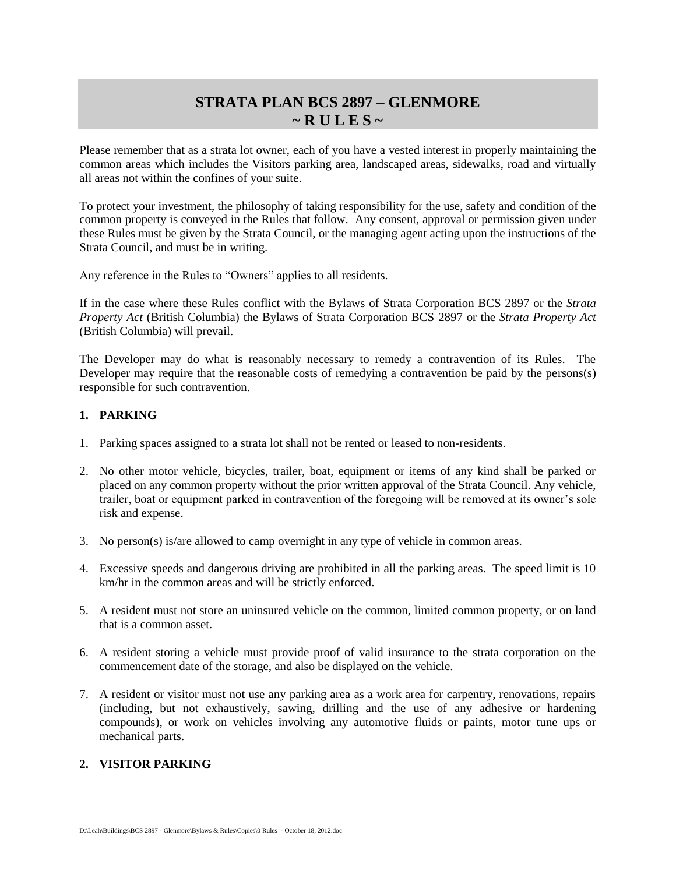# **STRATA PLAN BCS 2897 – GLENMORE**  $\sim$  R U L E S  $\sim$

Please remember that as a strata lot owner, each of you have a vested interest in properly maintaining the common areas which includes the Visitors parking area, landscaped areas, sidewalks, road and virtually all areas not within the confines of your suite.

To protect your investment, the philosophy of taking responsibility for the use, safety and condition of the common property is conveyed in the Rules that follow. Any consent, approval or permission given under these Rules must be given by the Strata Council, or the managing agent acting upon the instructions of the Strata Council, and must be in writing.

Any reference in the Rules to "Owners" applies to all residents.

If in the case where these Rules conflict with the Bylaws of Strata Corporation BCS 2897 or the *Strata Property Act* (British Columbia) the Bylaws of Strata Corporation BCS 2897 or the *Strata Property Act* (British Columbia) will prevail.

The Developer may do what is reasonably necessary to remedy a contravention of its Rules. The Developer may require that the reasonable costs of remedying a contravention be paid by the persons(s) responsible for such contravention.

#### **1. PARKING**

- 1. Parking spaces assigned to a strata lot shall not be rented or leased to non-residents.
- 2. No other motor vehicle, bicycles, trailer, boat, equipment or items of any kind shall be parked or placed on any common property without the prior written approval of the Strata Council. Any vehicle, trailer, boat or equipment parked in contravention of the foregoing will be removed at its owner's sole risk and expense.
- 3. No person(s) is/are allowed to camp overnight in any type of vehicle in common areas.
- 4. Excessive speeds and dangerous driving are prohibited in all the parking areas. The speed limit is 10 km/hr in the common areas and will be strictly enforced.
- 5. A resident must not store an uninsured vehicle on the common, limited common property, or on land that is a common asset.
- 6. A resident storing a vehicle must provide proof of valid insurance to the strata corporation on the commencement date of the storage, and also be displayed on the vehicle.
- 7. A resident or visitor must not use any parking area as a work area for carpentry, renovations, repairs (including, but not exhaustively, sawing, drilling and the use of any adhesive or hardening compounds), or work on vehicles involving any automotive fluids or paints, motor tune ups or mechanical parts.

#### **2. VISITOR PARKING**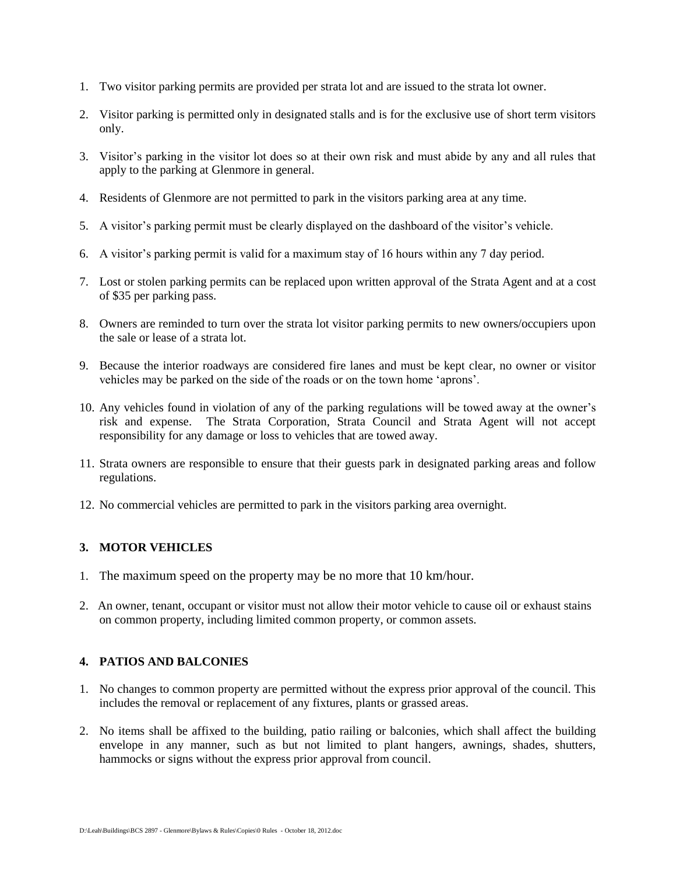- 1. Two visitor parking permits are provided per strata lot and are issued to the strata lot owner.
- 2. Visitor parking is permitted only in designated stalls and is for the exclusive use of short term visitors only.
- 3. Visitor's parking in the visitor lot does so at their own risk and must abide by any and all rules that apply to the parking at Glenmore in general.
- 4. Residents of Glenmore are not permitted to park in the visitors parking area at any time.
- 5. A visitor's parking permit must be clearly displayed on the dashboard of the visitor's vehicle.
- 6. A visitor's parking permit is valid for a maximum stay of 16 hours within any 7 day period.
- 7. Lost or stolen parking permits can be replaced upon written approval of the Strata Agent and at a cost of \$35 per parking pass.
- 8. Owners are reminded to turn over the strata lot visitor parking permits to new owners/occupiers upon the sale or lease of a strata lot.
- 9. Because the interior roadways are considered fire lanes and must be kept clear, no owner or visitor vehicles may be parked on the side of the roads or on the town home 'aprons'.
- 10. Any vehicles found in violation of any of the parking regulations will be towed away at the owner's risk and expense. The Strata Corporation, Strata Council and Strata Agent will not accept responsibility for any damage or loss to vehicles that are towed away.
- 11. Strata owners are responsible to ensure that their guests park in designated parking areas and follow regulations.
- 12. No commercial vehicles are permitted to park in the visitors parking area overnight.

#### **3. MOTOR VEHICLES**

- 1. The maximum speed on the property may be no more that 10 km/hour.
- 2. An owner, tenant, occupant or visitor must not allow their motor vehicle to cause oil or exhaust stains on common property, including limited common property, or common assets.

#### **4. PATIOS AND BALCONIES**

- 1. No changes to common property are permitted without the express prior approval of the council. This includes the removal or replacement of any fixtures, plants or grassed areas.
- 2. No items shall be affixed to the building, patio railing or balconies, which shall affect the building envelope in any manner, such as but not limited to plant hangers, awnings, shades, shutters, hammocks or signs without the express prior approval from council.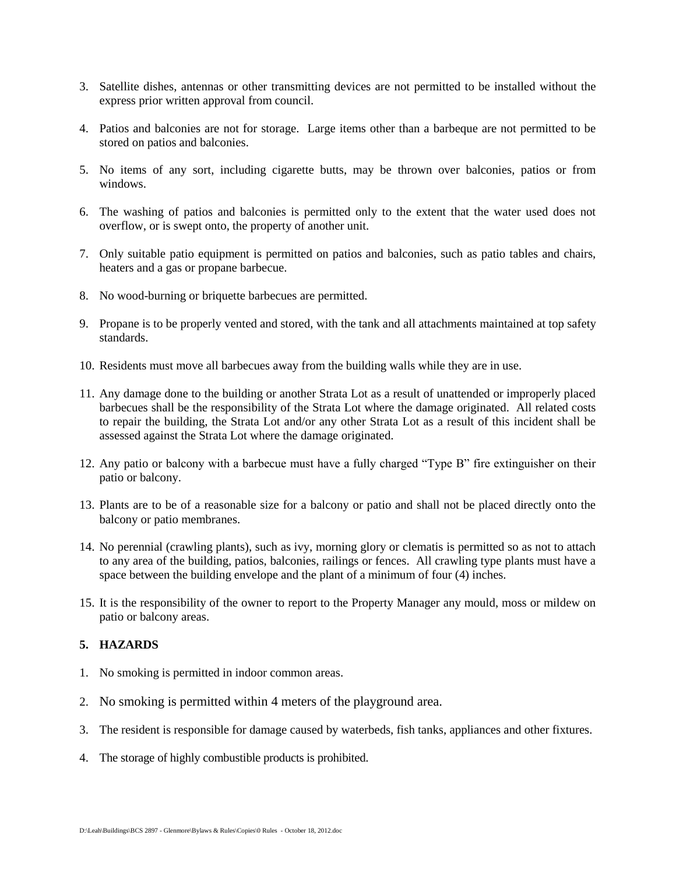- 3. Satellite dishes, antennas or other transmitting devices are not permitted to be installed without the express prior written approval from council.
- 4. Patios and balconies are not for storage. Large items other than a barbeque are not permitted to be stored on patios and balconies.
- 5. No items of any sort, including cigarette butts, may be thrown over balconies, patios or from windows.
- 6. The washing of patios and balconies is permitted only to the extent that the water used does not overflow, or is swept onto, the property of another unit.
- 7. Only suitable patio equipment is permitted on patios and balconies, such as patio tables and chairs, heaters and a gas or propane barbecue.
- 8. No wood-burning or briquette barbecues are permitted.
- 9. Propane is to be properly vented and stored, with the tank and all attachments maintained at top safety standards.
- 10. Residents must move all barbecues away from the building walls while they are in use.
- 11. Any damage done to the building or another Strata Lot as a result of unattended or improperly placed barbecues shall be the responsibility of the Strata Lot where the damage originated. All related costs to repair the building, the Strata Lot and/or any other Strata Lot as a result of this incident shall be assessed against the Strata Lot where the damage originated.
- 12. Any patio or balcony with a barbecue must have a fully charged "Type B" fire extinguisher on their patio or balcony.
- 13. Plants are to be of a reasonable size for a balcony or patio and shall not be placed directly onto the balcony or patio membranes.
- 14. No perennial (crawling plants), such as ivy, morning glory or clematis is permitted so as not to attach to any area of the building, patios, balconies, railings or fences. All crawling type plants must have a space between the building envelope and the plant of a minimum of four (4) inches.
- 15. It is the responsibility of the owner to report to the Property Manager any mould, moss or mildew on patio or balcony areas.

#### **5. HAZARDS**

- 1. No smoking is permitted in indoor common areas.
- 2. No smoking is permitted within 4 meters of the playground area.
- 3. The resident is responsible for damage caused by waterbeds, fish tanks, appliances and other fixtures.
- 4. The storage of highly combustible products is prohibited.